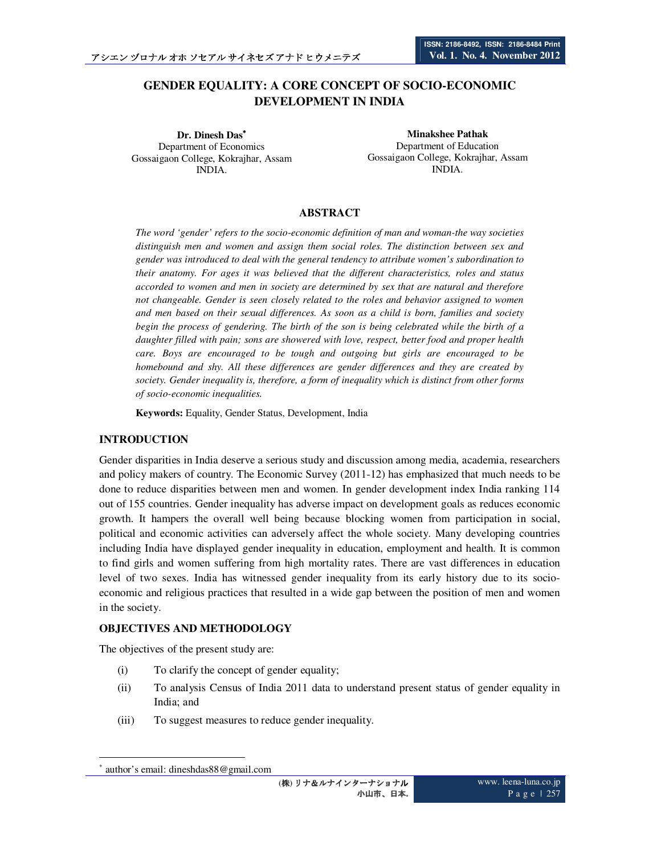# **GENDER EQUALITY: A CORE CONCEPT OF SOCIO-ECONOMIC DEVELOPMENT IN INDIA**

**Dr. Dinesh Das**<sup>∗</sup> Department of Economics Gossaigaon College, Kokrajhar, Assam INDIA.

**Minakshee Pathak**  Department of Education Gossaigaon College, Kokrajhar, Assam INDIA.

# **ABSTRACT**

*The word 'gender' refers to the socio-economic definition of man and woman-the way societies distinguish men and women and assign them social roles. The distinction between sex and gender was introduced to deal with the general tendency to attribute women's subordination to their anatomy. For ages it was believed that the different characteristics, roles and status accorded to women and men in society are determined by sex that are natural and therefore not changeable. Gender is seen closely related to the roles and behavior assigned to women and men based on their sexual differences. As soon as a child is born, families and society begin the process of gendering. The birth of the son is being celebrated while the birth of a daughter filled with pain; sons are showered with love, respect, better food and proper health care. Boys are encouraged to be tough and outgoing but girls are encouraged to be homebound and shy. All these differences are gender differences and they are created by society. Gender inequality is, therefore, a form of inequality which is distinct from other forms of socio-economic inequalities.* 

**Keywords:** Equality, Gender Status, Development, India

# **INTRODUCTION**

Gender disparities in India deserve a serious study and discussion among media, academia, researchers and policy makers of country. The Economic Survey (2011-12) has emphasized that much needs to be done to reduce disparities between men and women. In gender development index India ranking 114 out of 155 countries. Gender inequality has adverse impact on development goals as reduces economic growth. It hampers the overall well being because blocking women from participation in social, political and economic activities can adversely affect the whole society. Many developing countries including India have displayed gender inequality in education, employment and health. It is common to find girls and women suffering from high mortality rates. There are vast differences in education level of two sexes. India has witnessed gender inequality from its early history due to its socioeconomic and religious practices that resulted in a wide gap between the position of men and women in the society.

# **OBJECTIVES AND METHODOLOGY**

The objectives of the present study are:

- (i) To clarify the concept of gender equality;
- (ii) To analysis Census of India 2011 data to understand present status of gender equality in India; and
- (iii) To suggest measures to reduce gender inequality.

 $\ddot{\phantom{a}}$ 

<sup>∗</sup> author's email: dineshdas88@gmail.com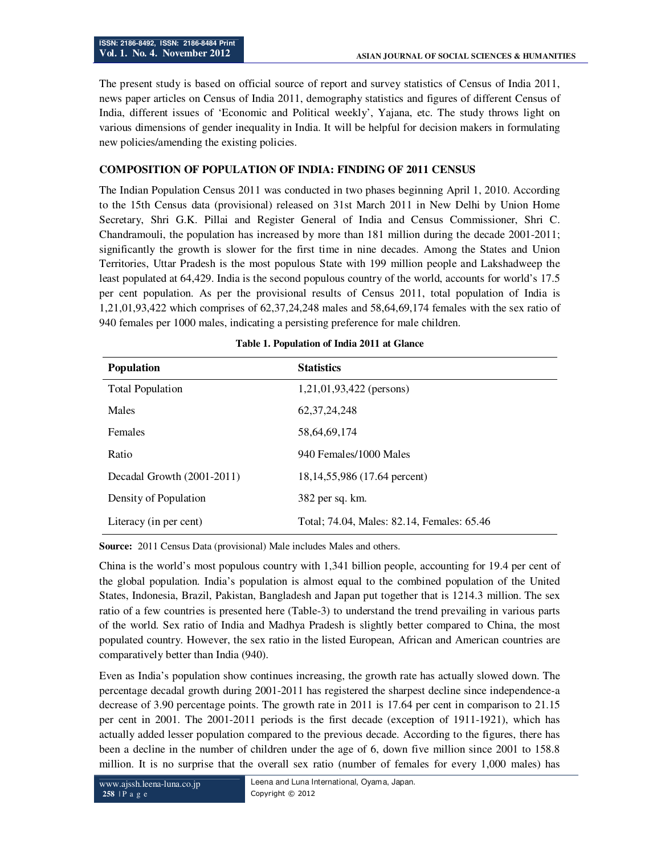The present study is based on official source of report and survey statistics of Census of India 2011, news paper articles on Census of India 2011, demography statistics and figures of different Census of India, different issues of 'Economic and Political weekly', Yajana, etc. The study throws light on various dimensions of gender inequality in India. It will be helpful for decision makers in formulating new policies/amending the existing policies.

# **COMPOSITION OF POPULATION OF INDIA: FINDING OF 2011 CENSUS**

The Indian Population Census 2011 was conducted in two phases beginning April 1, 2010. According to the 15th Census data (provisional) released on 31st March 2011 in New Delhi by Union Home Secretary, Shri G.K. Pillai and Register General of India and Census Commissioner, Shri C. Chandramouli, the population has increased by more than 181 million during the decade 2001-2011; significantly the growth is slower for the first time in nine decades. Among the States and Union Territories, Uttar Pradesh is the most populous State with 199 million people and Lakshadweep the least populated at 64,429. India is the second populous country of the world, accounts for world's 17.5 per cent population. As per the provisional results of Census 2011, total population of India is 1,21,01,93,422 which comprises of 62,37,24,248 males and 58,64,69,174 females with the sex ratio of 940 females per 1000 males, indicating a persisting preference for male children.

| <b>Population</b>          | <b>Statistics</b>                          |
|----------------------------|--------------------------------------------|
| <b>Total Population</b>    | $1,21,01,93,422$ (persons)                 |
| <b>Males</b>               | 62, 37, 24, 248                            |
| <b>Females</b>             | 58,64,69,174                               |
| Ratio                      | 940 Females/1000 Males                     |
| Decadal Growth (2001-2011) | 18,14,55,986 (17.64 percent)               |
| Density of Population      | 382 per sq. km.                            |
| Literacy (in per cent)     | Total; 74.04, Males: 82.14, Females: 65.46 |

| Table 1. Population of India 2011 at Glance |
|---------------------------------------------|
|---------------------------------------------|

**Source:** 2011 Census Data (provisional) Male includes Males and others.

China is the world's most populous country with 1,341 billion people, accounting for 19.4 per cent of the global population. India's population is almost equal to the combined population of the United States, Indonesia, Brazil, Pakistan, Bangladesh and Japan put together that is 1214.3 million. The sex ratio of a few countries is presented here (Table-3) to understand the trend prevailing in various parts of the world. Sex ratio of India and Madhya Pradesh is slightly better compared to China, the most populated country. However, the sex ratio in the listed European, African and American countries are comparatively better than India (940).

Even as India's population show continues increasing, the growth rate has actually slowed down. The percentage decadal growth during 2001-2011 has registered the sharpest decline since independence-a decrease of 3.90 percentage points. The growth rate in 2011 is 17.64 per cent in comparison to 21.15 per cent in 2001. The 2001-2011 periods is the first decade (exception of 1911-1921), which has actually added lesser population compared to the previous decade. According to the figures, there has been a decline in the number of children under the age of 6, down five million since 2001 to 158.8 million. It is no surprise that the overall sex ratio (number of females for every 1,000 males) has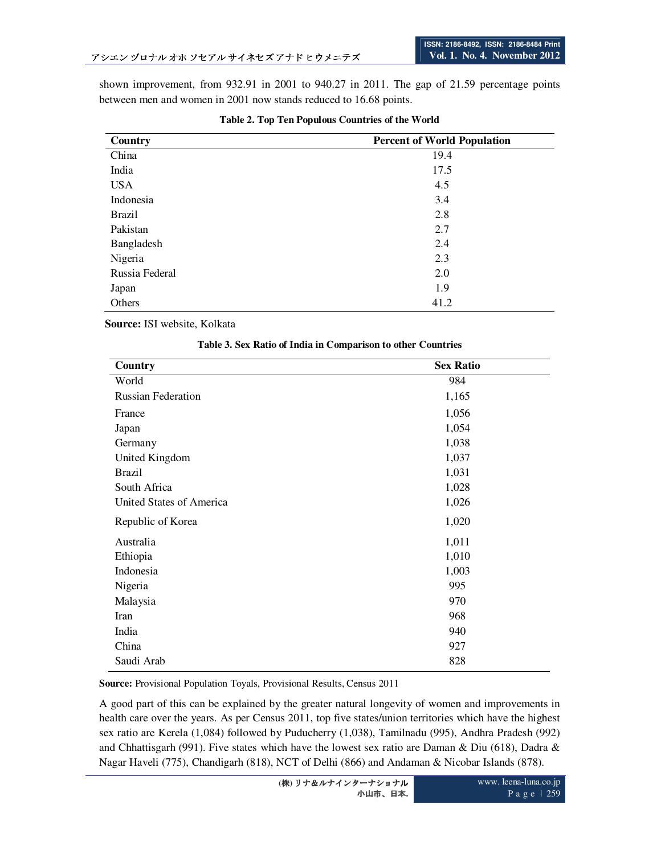shown improvement, from 932.91 in 2001 to 940.27 in 2011. The gap of 21.59 percentage points between men and women in 2001 now stands reduced to 16.68 points.

| Country        | <b>Percent of World Population</b> |
|----------------|------------------------------------|
| China          | 19.4                               |
| India          | 17.5                               |
| <b>USA</b>     | 4.5                                |
| Indonesia      | 3.4                                |
| <b>Brazil</b>  | 2.8                                |
| Pakistan       | 2.7                                |
| Bangladesh     | 2.4                                |
| Nigeria        | 2.3                                |
| Russia Federal | 2.0                                |
| Japan          | 1.9                                |
| Others         | 41.2                               |

## **Table 2. Top Ten Populous Countries of the World**

 **Source:** ISI website, Kolkata

| Country                   | <b>Sex Ratio</b> |
|---------------------------|------------------|
| World                     | 984              |
| <b>Russian Federation</b> | 1,165            |
| France                    | 1,056            |
| Japan                     | 1,054            |
| Germany                   | 1,038            |
| United Kingdom            | 1,037            |
| <b>Brazil</b>             | 1,031            |
| South Africa              | 1,028            |
| United States of America  | 1,026            |
| Republic of Korea         | 1,020            |
| Australia                 | 1,011            |
| Ethiopia                  | 1,010            |
| Indonesia                 | 1,003            |
| Nigeria                   | 995              |
| Malaysia                  | 970              |
| Iran                      | 968              |
| India                     | 940              |
| China                     | 927              |
| Saudi Arab                | 828              |

#### **Table 3. Sex Ratio of India in Comparison to other Countries**

**Source:** Provisional Population Toyals, Provisional Results, Census 2011

A good part of this can be explained by the greater natural longevity of women and improvements in health care over the years. As per Census 2011, top five states/union territories which have the highest sex ratio are Kerela (1,084) followed by Puducherry (1,038), Tamilnadu (995), Andhra Pradesh (992) and Chhattisgarh (991). Five states which have the lowest sex ratio are Daman & Diu (618), Dadra & Nagar Haveli (775), Chandigarh (818), NCT of Delhi (866) and Andaman & Nicobar Islands (878).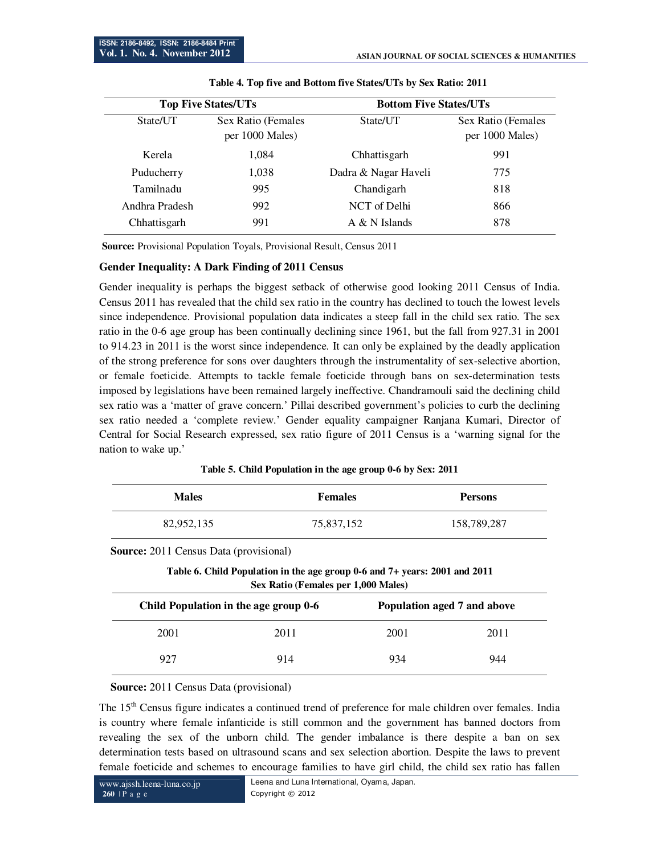|                | <b>Top Five States/UTs</b>            |                      | <b>Bottom Five States/UTs</b>         |  |  |
|----------------|---------------------------------------|----------------------|---------------------------------------|--|--|
| State/UT       | Sex Ratio (Females<br>per 1000 Males) | State/UT             | Sex Ratio (Females<br>per 1000 Males) |  |  |
| Kerela         | 1,084                                 | Chhattisgarh         | 991                                   |  |  |
| Puducherry     | 1,038                                 | Dadra & Nagar Haveli | 775                                   |  |  |
| Tamilnadu      | 995                                   | Chandigarh           | 818                                   |  |  |
| Andhra Pradesh | 992                                   | NCT of Delhi         | 866                                   |  |  |
| Chhattisgarh   | 991                                   | A & N Islands        | 878                                   |  |  |

|  |  |  | Table 4. Top five and Bottom five States/UTs by Sex Ratio: 2011 |  |
|--|--|--|-----------------------------------------------------------------|--|
|--|--|--|-----------------------------------------------------------------|--|

 **Source:** Provisional Population Toyals, Provisional Result, Census 2011

## **Gender Inequality: A Dark Finding of 2011 Census**

Gender inequality is perhaps the biggest setback of otherwise good looking 2011 Census of India. Census 2011 has revealed that the child sex ratio in the country has declined to touch the lowest levels since independence. Provisional population data indicates a steep fall in the child sex ratio. The sex ratio in the 0-6 age group has been continually declining since 1961, but the fall from 927.31 in 2001 to 914.23 in 2011 is the worst since independence. It can only be explained by the deadly application of the strong preference for sons over daughters through the instrumentality of sex-selective abortion, or female foeticide. Attempts to tackle female foeticide through bans on sex-determination tests imposed by legislations have been remained largely ineffective. Chandramouli said the declining child sex ratio was a 'matter of grave concern.' Pillai described government's policies to curb the declining sex ratio needed a 'complete review.' Gender equality campaigner Ranjana Kumari, Director of Central for Social Research expressed, sex ratio figure of 2011 Census is a 'warning signal for the nation to wake up.'

| Table 5. Child Population in the age group 0-6 by Sex: 2011 |  |  |
|-------------------------------------------------------------|--|--|
|-------------------------------------------------------------|--|--|

| <b>Males</b>                                  | <b>Females</b>                                                                                                    |      | <b>Persons</b>              |
|-----------------------------------------------|-------------------------------------------------------------------------------------------------------------------|------|-----------------------------|
| 82,952,135                                    | 75,837,152                                                                                                        |      | 158,789,287                 |
| <b>Source:</b> 2011 Census Data (provisional) |                                                                                                                   |      |                             |
|                                               | Table 6. Child Population in the age group 0-6 and 7+ years: 2001 and 2011<br>Sex Ratio (Females per 1,000 Males) |      |                             |
|                                               | Child Population in the age group 0-6                                                                             |      | Population aged 7 and above |
| 2001                                          | 2011                                                                                                              | 2001 | 2011                        |
| 927                                           | 914                                                                                                               | 934  | 944                         |

#### **Source:** 2011 Census Data (provisional)

The 15<sup>th</sup> Census figure indicates a continued trend of preference for male children over females. India is country where female infanticide is still common and the government has banned doctors from revealing the sex of the unborn child. The gender imbalance is there despite a ban on sex determination tests based on ultrasound scans and sex selection abortion. Despite the laws to prevent female foeticide and schemes to encourage families to have girl child, the child sex ratio has fallen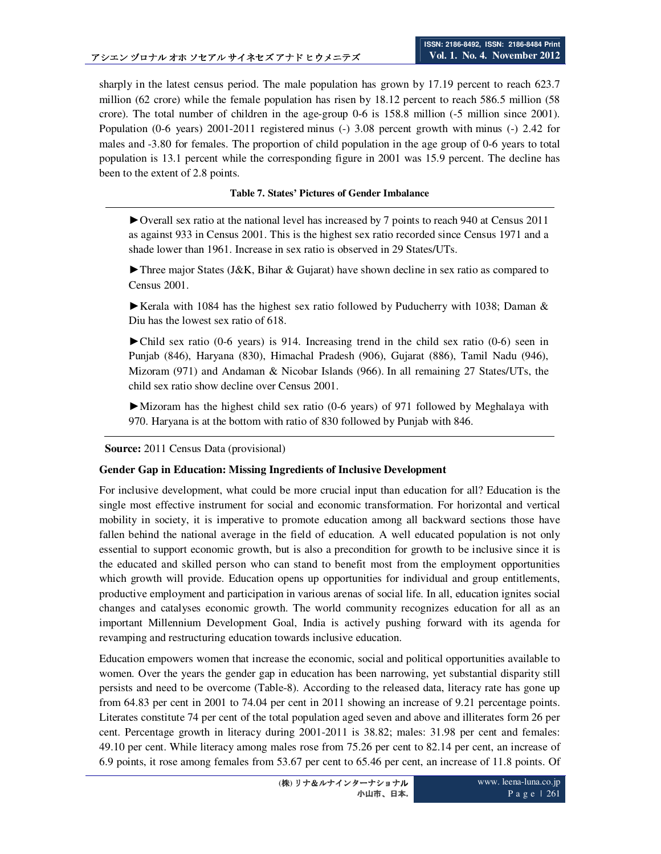sharply in the latest census period. The male population has grown by 17.19 percent to reach 623.7 million (62 crore) while the female population has risen by 18.12 percent to reach 586.5 million (58 crore). The total number of children in the age-group 0-6 is 158.8 million (-5 million since 2001). Population (0-6 years) 2001-2011 registered minus (-) 3.08 percent growth with minus (-) 2.42 for males and -3.80 for females. The proportion of child population in the age group of 0-6 years to total population is 13.1 percent while the corresponding figure in 2001 was 15.9 percent. The decline has been to the extent of 2.8 points.

## **Table 7. States' Pictures of Gender Imbalance**

►Overall sex ratio at the national level has increased by 7 points to reach 940 at Census 2011 as against 933 in Census 2001. This is the highest sex ratio recorded since Census 1971 and a shade lower than 1961. Increase in sex ratio is observed in 29 States/UTs.

 $\blacktriangleright$  Three major States (J&K, Bihar & Gujarat) have shown decline in sex ratio as compared to Census 2001.

Exercise Kerala with 1084 has the highest sex ratio followed by Puducherry with 1038; Daman  $\&$ Diu has the lowest sex ratio of 618.

►Child sex ratio (0-6 years) is 914. Increasing trend in the child sex ratio (0-6) seen in Punjab (846), Haryana (830), Himachal Pradesh (906), Gujarat (886), Tamil Nadu (946), Mizoram (971) and Andaman & Nicobar Islands (966). In all remaining 27 States/UTs, the child sex ratio show decline over Census 2001.

►Mizoram has the highest child sex ratio (0-6 years) of 971 followed by Meghalaya with 970. Haryana is at the bottom with ratio of 830 followed by Punjab with 846.

**Source:** 2011 Census Data (provisional)

#### **Gender Gap in Education: Missing Ingredients of Inclusive Development**

For inclusive development, what could be more crucial input than education for all? Education is the single most effective instrument for social and economic transformation. For horizontal and vertical mobility in society, it is imperative to promote education among all backward sections those have fallen behind the national average in the field of education. A well educated population is not only essential to support economic growth, but is also a precondition for growth to be inclusive since it is the educated and skilled person who can stand to benefit most from the employment opportunities which growth will provide. Education opens up opportunities for individual and group entitlements, productive employment and participation in various arenas of social life. In all, education ignites social changes and catalyses economic growth. The world community recognizes education for all as an important Millennium Development Goal, India is actively pushing forward with its agenda for revamping and restructuring education towards inclusive education.

Education empowers women that increase the economic, social and political opportunities available to women. Over the years the gender gap in education has been narrowing, yet substantial disparity still persists and need to be overcome (Table-8). According to the released data, literacy rate has gone up from 64.83 per cent in 2001 to 74.04 per cent in 2011 showing an increase of 9.21 percentage points. Literates constitute 74 per cent of the total population aged seven and above and illiterates form 26 per cent. Percentage growth in literacy during 2001-2011 is 38.82; males: 31.98 per cent and females: 49.10 per cent. While literacy among males rose from 75.26 per cent to 82.14 per cent, an increase of 6.9 points, it rose among females from 53.67 per cent to 65.46 per cent, an increase of 11.8 points. Of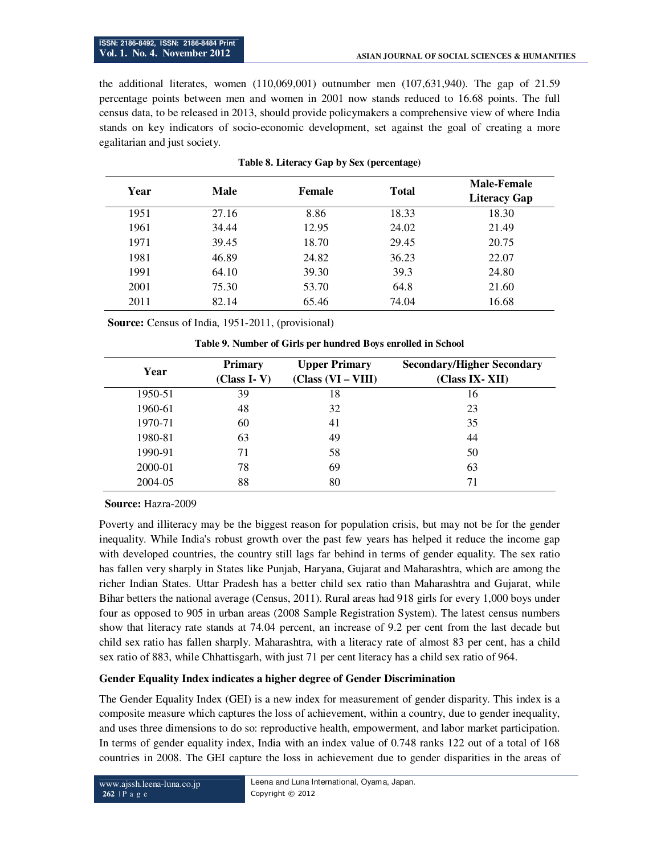the additional literates, women (110,069,001) outnumber men (107,631,940). The gap of 21.59 percentage points between men and women in 2001 now stands reduced to 16.68 points. The full census data, to be released in 2013, should provide policymakers a comprehensive view of where India stands on key indicators of socio-economic development, set against the goal of creating a more egalitarian and just society.

| Year | Male  | Female | <b>Total</b> | <b>Male-Female</b>  |
|------|-------|--------|--------------|---------------------|
|      |       |        |              | <b>Literacy Gap</b> |
| 1951 | 27.16 | 8.86   | 18.33        | 18.30               |
| 1961 | 34.44 | 12.95  | 24.02        | 21.49               |
| 1971 | 39.45 | 18.70  | 29.45        | 20.75               |
| 1981 | 46.89 | 24.82  | 36.23        | 22.07               |
| 1991 | 64.10 | 39.30  | 39.3         | 24.80               |
| 2001 | 75.30 | 53.70  | 64.8         | 21.60               |
| 2011 | 82.14 | 65.46  | 74.04        | 16.68               |

|  |  | Table 8. Literacy Gap by Sex (percentage) |
|--|--|-------------------------------------------|
|  |  |                                           |

 **Source:** Census of India, 1951-2011, (provisional)

| Year    | <b>Primary</b><br>$(Class I-V)$ | <b>Upper Primary</b><br>$(Class (VI - VIII)$ | <b>Secondary/Higher Secondary</b><br>(Class IX-XII) |
|---------|---------------------------------|----------------------------------------------|-----------------------------------------------------|
| 1950-51 | 39                              | 18                                           | 16                                                  |
| 1960-61 | 48                              | 32                                           | 23                                                  |
| 1970-71 | 60                              | 41                                           | 35                                                  |
| 1980-81 | 63                              | 49                                           | 44                                                  |
| 1990-91 | 71                              | 58                                           | 50                                                  |
| 2000-01 | 78                              | 69                                           | 63                                                  |
| 2004-05 | 88                              | 80                                           | 71                                                  |

**Table 9. Number of Girls per hundred Boys enrolled in School** 

#### **Source:** Hazra-2009

Poverty and illiteracy may be the biggest reason for population crisis, but may not be for the gender inequality. While India's robust growth over the past few years has helped it reduce the income gap with developed countries, the country still lags far behind in terms of gender equality. The sex ratio has fallen very sharply in States like Punjab, Haryana, Gujarat and Maharashtra, which are among the richer Indian States. Uttar Pradesh has a better child sex ratio than Maharashtra and Gujarat, while Bihar betters the national average (Census, 2011). Rural areas had 918 girls for every 1,000 boys under four as opposed to 905 in urban areas (2008 Sample Registration System). The latest census numbers show that literacy rate stands at 74.04 percent, an increase of 9.2 per cent from the last decade but child sex ratio has fallen sharply. Maharashtra, with a literacy rate of almost 83 per cent, has a child sex ratio of 883, while Chhattisgarh, with just 71 per cent literacy has a child sex ratio of 964.

#### **Gender Equality Index indicates a higher degree of Gender Discrimination**

The Gender Equality Index (GEI) is a new index for measurement of gender disparity. This index is a composite measure which captures the loss of achievement, within a country, due to gender inequality, and uses three dimensions to do so: reproductive health, empowerment, and labor market participation. In terms of gender equality index, India with an index value of 0.748 ranks 122 out of a total of 168 countries in 2008. The GEI capture the loss in achievement due to gender disparities in the areas of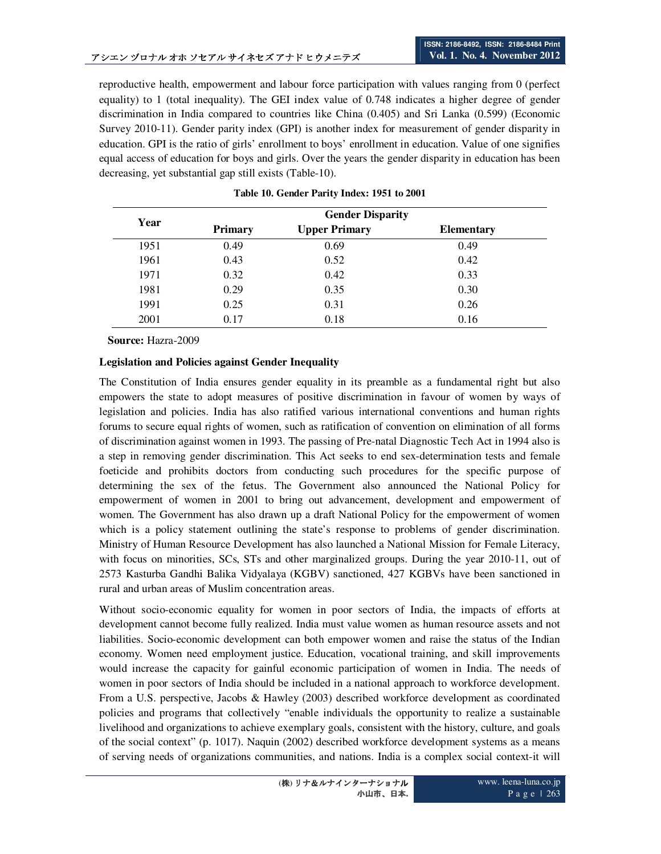reproductive health, empowerment and labour force participation with values ranging from 0 (perfect equality) to 1 (total inequality). The GEI index value of 0.748 indicates a higher degree of gender discrimination in India compared to countries like China (0.405) and Sri Lanka (0.599) (Economic Survey 2010-11). Gender parity index (GPI) is another index for measurement of gender disparity in education. GPI is the ratio of girls' enrollment to boys' enrollment in education. Value of one signifies equal access of education for boys and girls. Over the years the gender disparity in education has been decreasing, yet substantial gap still exists (Table-10).

| Year |                | <b>Gender Disparity</b> |                   |
|------|----------------|-------------------------|-------------------|
|      | <b>Primary</b> | <b>Upper Primary</b>    | <b>Elementary</b> |
| 1951 | 0.49           | 0.69                    | 0.49              |
| 1961 | 0.43           | 0.52                    | 0.42              |
| 1971 | 0.32           | 0.42                    | 0.33              |
| 1981 | 0.29           | 0.35                    | 0.30              |
| 1991 | 0.25           | 0.31                    | 0.26              |
| 2001 | 0.17           | 0.18                    | 0.16              |

**Source:** Hazra-2009

## **Legislation and Policies against Gender Inequality**

The Constitution of India ensures gender equality in its preamble as a fundamental right but also empowers the state to adopt measures of positive discrimination in favour of women by ways of legislation and policies. India has also ratified various international conventions and human rights forums to secure equal rights of women, such as ratification of convention on elimination of all forms of discrimination against women in 1993. The passing of Pre-natal Diagnostic Tech Act in 1994 also is a step in removing gender discrimination. This Act seeks to end sex-determination tests and female foeticide and prohibits doctors from conducting such procedures for the specific purpose of determining the sex of the fetus. The Government also announced the National Policy for empowerment of women in 2001 to bring out advancement, development and empowerment of women. The Government has also drawn up a draft National Policy for the empowerment of women which is a policy statement outlining the state's response to problems of gender discrimination. Ministry of Human Resource Development has also launched a National Mission for Female Literacy, with focus on minorities, SCs, STs and other marginalized groups. During the year 2010-11, out of 2573 Kasturba Gandhi Balika Vidyalaya (KGBV) sanctioned, 427 KGBVs have been sanctioned in rural and urban areas of Muslim concentration areas.

Without socio-economic equality for women in poor sectors of India, the impacts of efforts at development cannot become fully realized. India must value women as human resource assets and not liabilities. Socio-economic development can both empower women and raise the status of the Indian economy. Women need employment justice. Education, vocational training, and skill improvements would increase the capacity for gainful economic participation of women in India. The needs of women in poor sectors of India should be included in a national approach to workforce development. From a U.S. perspective, Jacobs & Hawley (2003) described workforce development as coordinated policies and programs that collectively "enable individuals the opportunity to realize a sustainable livelihood and organizations to achieve exemplary goals, consistent with the history, culture, and goals of the social context" (p. 1017). Naquin (2002) described workforce development systems as a means of serving needs of organizations communities, and nations. India is a complex social context-it will